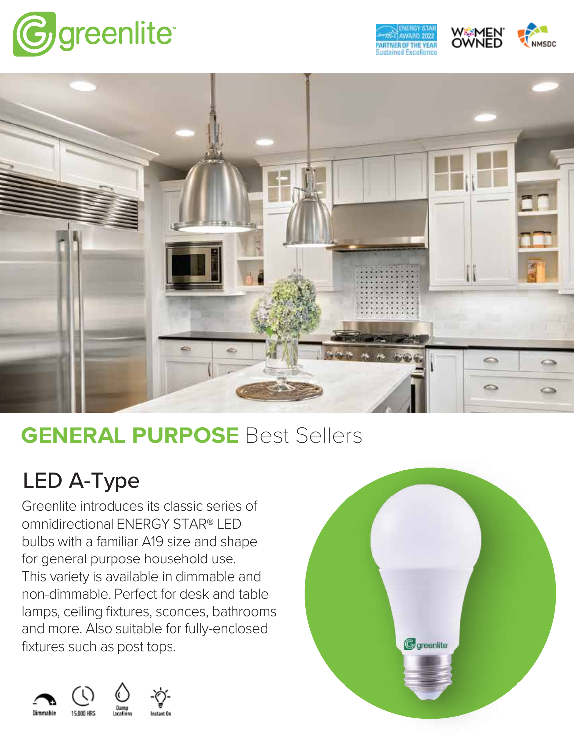





# **GENERAL PURPOSE** Best Sellers

## LED A-Type

Greenlite introduces its classic series of omnidirectional ENERGY STAR® LED bulbs with a familiar A19 size and shape for general purpose household use. This variety is available in dimmable and non-dimmable. Perfect for desk and table lamps, ceiling fixtures, sconces, bathrooms and more. Also suitable for fully-enclosed fixtures such as post tops.